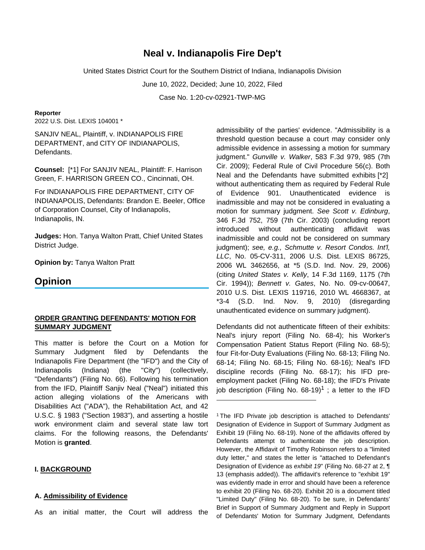# **Neal v. Indianapolis Fire Dep't**

United States District Court for the Southern District of Indiana, Indianapolis Division

June 10, 2022, Decided; June 10, 2022, Filed

Case No. 1:20-cv-02921-TWP-MG

#### **Reporter**

2022 U.S. Dist. LEXIS 104001 \*

SANJIV NEAL, Plaintiff, v. INDIANAPOLIS FIRE DEPARTMENT, and CITY OF INDIANAPOLIS, Defendants.

**Counsel:** [\*1] For SANJIV NEAL, Plaintiff: F. Harrison Green, F. HARRISON GREEN CO., Cincinnati, OH.

For INDIANAPOLIS FIRE DEPARTMENT, CITY OF INDIANAPOLIS, Defendants: Brandon E. Beeler, Office of Corporation Counsel, City of Indianapolis, Indianapolis, IN.

**Judges:** Hon. Tanya Walton Pratt, Chief United States District Judge.

**Opinion by:** Tanya Walton Pratt

## **Opinion**

## **ORDER GRANTING DEFENDANTS' MOTION FOR SUMMARY JUDGMENT**

This matter is before the Court on a Motion for Summary Judgment filed by Defendants the Indianapolis Fire Department (the "IFD") and the City of Indianapolis (Indiana) (the "City") (collectively, "Defendants") (Filing No. 66). Following his termination from the IFD, Plaintiff Sanjiv Neal ("Neal") initiated this action alleging violations of the Americans with Disabilities Act ("ADA"), the Rehabilitation Act, and 42 U.S.C. § 1983 ("Section 1983"), and asserting a hostile work environment claim and several state law tort claims. For the following reasons, the Defendants' Motion is **granted**.

#### **I. BACKGROUND**

#### **A. Admissibility of Evidence**

As an initial matter, the Court will address the

admissibility of the parties' evidence. "Admissibility is a threshold question because a court may consider only admissible evidence in assessing a motion for summary judgment." Gunville v. Walker, 583 F.3d 979, 985 (7th Cir. 2009); Federal Rule of Civil Procedure 56(c). Both Neal and the Defendants have submitted exhibits [\*2] without authenticating them as required by Federal Rule of Evidence 901. Unauthenticated evidence is inadmissible and may not be considered in evaluating a motion for summary judgment. See Scott v. Edinburg, 346 F.3d 752, 759 (7th Cir. 2003) (concluding report introduced without authenticating affidavit was inadmissible and could not be considered on summary judgment); see, e.g., Schmutte v. Resort Condos. Int'l, LLC, No. 05-CV-311, 2006 U.S. Dist. LEXIS 86725, 2006 WL 3462656, at \*5 (S.D. Ind. Nov. 29, 2006) (citing United States v. Kelly, 14 F.3d 1169, 1175 (7th Cir. 1994)); Bennett v. Gates, No. No. 09-cv-00647, 2010 U.S. Dist. LEXIS 119716, 2010 WL 4668367, at  $*3-4$  (S.D. Ind. Nov. 9, 2010) (disregarding unauthenticated evidence on summary judgment).

Defendants did not authenticate fifteen of their exhibits: Neal's injury report (Filing No. 68-4); his Worker's Compensation Patient Status Report (Filing No. 68-5); four Fit-for-Duty Evaluations (Filing No. 68-13; Filing No. 68-14; Filing No. 68-15; Filing No. 68-16); Neal's IFD discipline records (Filing No. 68-17); his IFD preemployment packet (Filing No. 68-18); the IFD's Private job description (Filing No. 68-19)<sup>1</sup>; a letter to the IFD

<sup>&</sup>lt;sup>1</sup>The IFD Private job description is attached to Defendants' Designation of Evidence in Support of Summary Judgment as Exhibit 19 (Filing No. 68-19). None of the affidavits offered by Defendants attempt to authenticate the job description. However, the Affidavit of Timothy Robinson refers to a "limited duty letter," and states the letter is "attached to Defendant's Designation of Evidence as exhibit 19" (Filing No. 68-27 at 2, ¶ 13 (emphasis added)). The affidavit's reference to "exhibit 19" was evidently made in error and should have been a reference to exhibit 20 (Filing No. 68-20). Exhibit 20 is a document titled "Limited Duty" (Filing No. 68-20). To be sure, in Defendants' Brief in Support of Summary Judgment and Reply in Support of Defendants' Motion for Summary Judgment, Defendants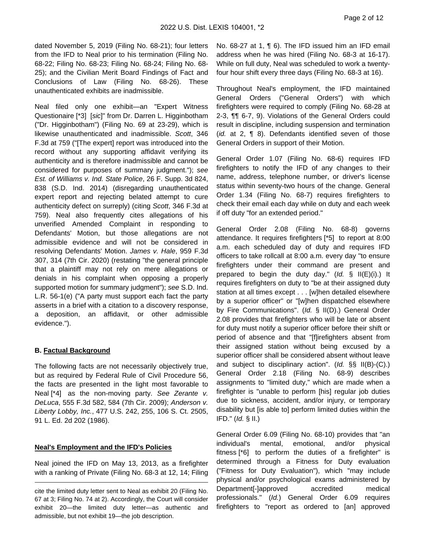dated November 5, 2019 (Filing No. 68-21); four letters from the IFD to Neal prior to his termination (Filing No. 68-22; Filing No. 68-23; Filing No. 68-24; Filing No. 68- 25); and the Civilian Merit Board Findings of Fact and Conclusions of Law (Filing No. 68-26). These unauthenticated exhibits are inadmissible.

Neal filed only one exhibit—an "Expert Witness Questionaire [\*3] [sic]" from Dr. Darren L. Higginbotham ("Dr. Higginbotham") (Filing No. 69 at 23-29), which is likewise unauthenticated and inadmissible. Scott, 346 F.3d at 759 ("[The expert] report was introduced into the record without any supporting affidavit verifying its authenticity and is therefore inadmissible and cannot be considered for purposes of summary judgment."); see Est. of Williams v. Ind. State Police, 26 F. Supp. 3d 824, 838 (S.D. Ind. 2014) (disregarding unauthenticated expert report and rejecting belated attempt to cure authenticity defect on surreply) (citing Scott, 346 F.3d at 759). Neal also frequently cites allegations of his unverified Amended Complaint in responding to Defendants' Motion, but those allegations are not admissible evidence and will not be considered in resolving Defendants' Motion. James v. Hale, 959 F.3d 307, 314 (7th Cir. 2020) (restating "the general principle that a plaintiff may not rely on mere allegations or denials in his complaint when opposing a properly supported motion for summary judgment"); see S.D. Ind. L.R. 56-1(e) ("A party must support each fact the party asserts in a brief with a citation to a discovery response, a deposition, an affidavit, or other admissible evidence.").

## **B. Factual Background**

The following facts are not necessarily objectively true, but as required by Federal Rule of Civil Procedure 56, the facts are presented in the light most favorable to Neal [\*4] as the non-moving party. See Zerante v. DeLuca, 555 F.3d 582, 584 (7th Cir. 2009); Anderson v. Liberty Lobby, Inc., 477 U.S. 242, 255, 106 S. Ct. 2505, 91 L. Ed. 2d 202 (1986).

## **Neal's Employment and the IFD's Policies**

Neal joined the IFD on May 13, 2013, as a firefighter with a ranking of Private (Filing No. 68-3 at 12, 14; Filing

No. 68-27 at 1, ¶ 6). The IFD issued him an IFD email address when he was hired (Filing No. 68-3 at 16-17). While on full duty, Neal was scheduled to work a twentyfour hour shift every three days (Filing No. 68-3 at 16).

Throughout Neal's employment, the IFD maintained General Orders ("General Orders") with which firefighters were required to comply (Filing No. 68-28 at 2-3, ¶¶ 6-7, 9). Violations of the General Orders could result in discipline, including suspension and termination (id. at 2, ¶ 8). Defendants identified seven of those General Orders in support of their Motion.

General Order 1.07 (Filing No. 68-6) requires IFD firefighters to notify the IFD of any changes to their name, address, telephone number, or driver's license status within seventy-two hours of the change. General Order 1.34 (Filing No. 68-7) requires firefighters to check their email each day while on duty and each week if off duty "for an extended period."

General Order 2.08 (Filing No. 68-8) governs attendance. It requires firefighters [\*5] to report at 8:00 a.m. each scheduled day of duty and requires IFD officers to take rollcall at 8:00 a.m. every day "to ensure firefighters under their command are present and prepared to begin the duty day." (Id. § II(E)(i).) It requires firefighters on duty to "be at their assigned duty station at all times except . . . [w]hen detailed elsewhere by a superior officer" or "[w]hen dispatched elsewhere by Fire Communications". (Id. § II(D).) General Order 2.08 provides that firefighters who will be late or absent for duty must notify a superior officer before their shift or period of absence and that "[f]irefighters absent from their assigned station without being excused by a superior officer shall be considered absent without leave and subject to disciplinary action". (Id. §§ II(B)-(C).) General Order 2.18 (Filing No. 68-9) describes assignments to "limited duty," which are made when a firefighter is "unable to perform [his] regular job duties due to sickness, accident, and/or injury, or temporary disability but [is able to] perform limited duties within the IFD."  $(Id. \S$  II.)

General Order 6.09 (Filing No. 68-10) provides that "an individual's mental, emotional, and/or physical fitness [\*6] to perform the duties of a firefighter" is determined through a Fitness for Duty evaluation ("Fitness for Duty Evaluation"), which "may include physical and/or psychological exams administered by Department[-]approved accredited medical professionals." (Id.) General Order 6.09 requires firefighters to "report as ordered to [an] approved

cite the limited duty letter sent to Neal as exhibit 20 (Filing No. 67 at 3; Filing No. 74 at 2). Accordingly, the Court will consider exhibit 20—the limited duty letter—as authentic and admissible, but not exhibit 19—the job description.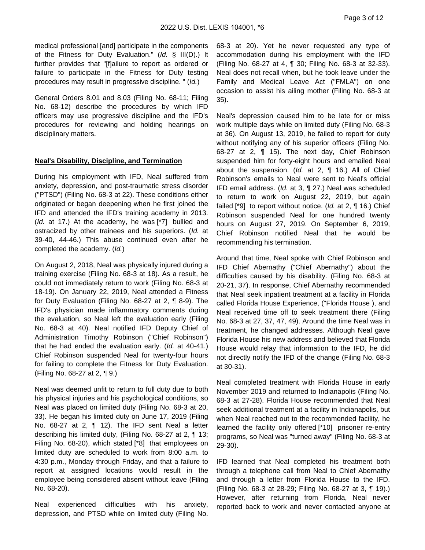medical professional [and] participate in the components of the Fitness for Duty Evaluation." (Id. § III(D).) It further provides that "[f]ailure to report as ordered or failure to participate in the Fitness for Duty testing procedures may result in progressive discipline. " (Id.)

General Orders 8.01 and 8.03 (Filing No. 68-11; Filing No. 68-12) describe the procedures by which IFD officers may use progressive discipline and the IFD's procedures for reviewing and holding hearings on disciplinary matters.

#### **Neal's Disability, Discipline, and Termination**

During his employment with IFD, Neal suffered from anxiety, depression, and post-traumatic stress disorder ("PTSD") (Filing No. 68-3 at 22). These conditions either originated or began deepening when he first joined the IFD and attended the IFD's training academy in 2013. (Id. at 17.) At the academy, he was [\*7] bullied and ostracized by other trainees and his superiors. (Id. at 39-40, 44-46.) This abuse continued even after he completed the academy. (Id.)

On August 2, 2018, Neal was physically injured during a training exercise (Filing No. 68-3 at 18). As a result, he could not immediately return to work (Filing No. 68-3 at 18-19). On January 22, 2019, Neal attended a Fitness for Duty Evaluation (Filing No. 68-27 at 2, ¶ 8-9). The IFD's physician made inflammatory comments during the evaluation, so Neal left the evaluation early (Filing No. 68-3 at 40). Neal notified IFD Deputy Chief of Administration Timothy Robinson ("Chief Robinson") that he had ended the evaluation early. (Id. at 40-41.) Chief Robinson suspended Neal for twenty-four hours for failing to complete the Fitness for Duty Evaluation. (Filing No. 68-27 at 2, ¶ 9.)

Neal was deemed unfit to return to full duty due to both his physical injuries and his psychological conditions, so Neal was placed on limited duty (Filing No. 68-3 at 20, 33). He began his limited duty on June 17, 2019 (Filing No. 68-27 at 2, ¶ 12). The IFD sent Neal a letter describing his limited duty, (Filing No. 68-27 at 2, ¶ 13; Filing No. 68-20), which stated [\*8] that employees on limited duty are scheduled to work from 8:00 a.m. to 4:30 p.m., Monday through Friday, and that a failure to report at assigned locations would result in the employee being considered absent without leave (Filing No. 68-20).

Neal experienced difficulties with his anxiety, depression, and PTSD while on limited duty (Filing No. 68-3 at 20). Yet he never requested any type of accommodation during his employment with the IFD (Filing No. 68-27 at 4, ¶ 30; Filing No. 68-3 at 32-33). Neal does not recall when, but he took leave under the Family and Medical Leave Act ("FMLA") on one occasion to assist his ailing mother (Filing No. 68-3 at 35).

Neal's depression caused him to be late for or miss work multiple days while on limited duty (Filing No. 68-3 at 36). On August 13, 2019, he failed to report for duty without notifying any of his superior officers (Filing No. 68-27 at 2, ¶ 15). The next day, Chief Robinson suspended him for forty-eight hours and emailed Neal about the suspension. (Id. at 2, ¶ 16.) All of Chief Robinson's emails to Neal were sent to Neal's official IFD email address. (Id. at 3, ¶ 27.) Neal was scheduled to return to work on August 22, 2019, but again failed  $[{}^*9]$  to report without notice. (Id. at 2,  $\P$  16.) Chief Robinson suspended Neal for one hundred twenty hours on August 27, 2019. On September 6, 2019, Chief Robinson notified Neal that he would be recommending his termination.

Around that time, Neal spoke with Chief Robinson and IFD Chief Abernathy ("Chief Abernathy") about the difficulties caused by his disability. (Filing No. 68-3 at 20-21, 37). In response, Chief Abernathy recommended that Neal seek inpatient treatment at a facility in Florida called Florida House Experience, ("Florida House ), and Neal received time off to seek treatment there (Filing No. 68-3 at 27, 37, 47, 49). Around the time Neal was in treatment, he changed addresses. Although Neal gave Florida House his new address and believed that Florida House would relay that information to the IFD, he did not directly notify the IFD of the change (Filing No. 68-3 at 30-31).

Neal completed treatment with Florida House in early November 2019 and returned to Indianapolis (Filing No. 68-3 at 27-28). Florida House recommended that Neal seek additional treatment at a facility in Indianapolis, but when Neal reached out to the recommended facility, he learned the facility only offered [\*10] prisoner re-entry programs, so Neal was "turned away" (Filing No. 68-3 at 29-30).

IFD learned that Neal completed his treatment both through a telephone call from Neal to Chief Abernathy and through a letter from Florida House to the IFD. (Filing No. 68-3 at 28-29; Filing No. 68-27 at 3, ¶ 19).) However, after returning from Florida, Neal never reported back to work and never contacted anyone at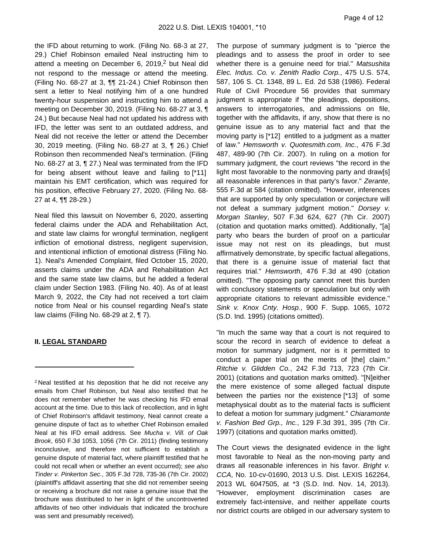the IFD about returning to work. (Filing No. 68-3 at 27, 29.) Chief Robinson emailed Neal instructing him to attend a meeting on December 6, 2019, $2$  but Neal did not respond to the message or attend the meeting. (Filing No. 68-27 at 3, ¶¶ 21-24.) Chief Robinson then sent a letter to Neal notifying him of a one hundred twenty-hour suspension and instructing him to attend a meeting on December 30, 2019. (Filing No. 68-27 at 3, ¶ 24.) But because Neal had not updated his address with IFD, the letter was sent to an outdated address, and Neal did not receive the letter or attend the December 30, 2019 meeting. (Filing No. 68-27 at 3, ¶ 26.) Chief Robinson then recommended Neal's termination. (Filing No. 68-27 at 3, ¶ 27.) Neal was terminated from the IFD for being absent without leave and failing to [\*11] maintain his EMT certification, which was required for his position, effective February 27, 2020. (Filing No. 68- 27 at 4, ¶¶ 28-29.)

Neal filed this lawsuit on November 6, 2020, asserting federal claims under the ADA and Rehabilitation Act, and state law claims for wrongful termination, negligent infliction of emotional distress, negligent supervision, and intentional infliction of emotional distress (Filing No. 1). Neal's Amended Complaint, filed October 15, 2020, asserts claims under the ADA and Rehabilitation Act and the same state law claims, but he added a federal claim under Section 1983. (Filing No. 40). As of at least March 9, 2022, the City had not received a tort claim notice from Neal or his counsel regarding Neal's state law claims (Filing No. 68-29 at 2, ¶ 7).

#### **II. LEGAL STANDARD**

The purpose of summary judgment is to "pierce the pleadings and to assess the proof in order to see whether there is a genuine need for trial." Matsushita Elec. Indus. Co. v. Zenith Radio Corp., 475 U.S. 574, 587, 106 S. Ct. 1348, 89 L. Ed. 2d 538 (1986). Federal Rule of Civil Procedure 56 provides that summary judgment is appropriate if "the pleadings, depositions, answers to interrogatories, and admissions on file, together with the affidavits, if any, show that there is no genuine issue as to any material fact and that the moving party is [\*12] entitled to a judgment as a matter of law." Hemsworth v. Quotesmith.com, Inc., 476 F.3d 487, 489-90 (7th Cir. 2007). In ruling on a motion for summary judgment, the court reviews "the record in the light most favorable to the nonmoving party and draw[s] all reasonable inferences in that party's favor." Zerante, 555 F.3d at 584 (citation omitted). "However, inferences that are supported by only speculation or conjecture will not defeat a summary judgment motion." Dorsey v. Morgan Stanley, 507 F.3d 624, 627 (7th Cir. 2007) (citation and quotation marks omitted). Additionally, "[a] party who bears the burden of proof on a particular issue may not rest on its pleadings, but must affirmatively demonstrate, by specific factual allegations, that there is a genuine issue of material fact that requires trial." Hemsworth, 476 F.3d at 490 (citation omitted). "The opposing party cannot meet this burden with conclusory statements or speculation but only with appropriate citations to relevant admissible evidence." Sink v. Knox Cnty. Hosp., 900 F. Supp. 1065, 1072 (S.D. Ind. 1995) (citations omitted).

"In much the same way that a court is not required to scour the record in search of evidence to defeat a motion for summary judgment, nor is it permitted to conduct a paper trial on the merits of [the] claim." Ritchie v. Glidden Co., 242 F.3d 713, 723 (7th Cir. 2001) (citations and quotation marks omitted). "[N]either the mere existence of some alleged factual dispute between the parties nor the existence [\*13] of some metaphysical doubt as to the material facts is sufficient to defeat a motion for summary judgment." Chiaramonte v. Fashion Bed Grp., Inc., 129 F.3d 391, 395 (7th Cir. 1997) (citations and quotation marks omitted).

The Court views the designated evidence in the light most favorable to Neal as the non-moving party and draws all reasonable inferences in his favor. Bright v. CCA, No. 10-cv-01690, 2013 U.S. Dist. LEXIS 162264, 2013 WL 6047505, at \*3 (S.D. Ind. Nov. 14, 2013). "However, employment discrimination cases are extremely fact-intensive, and neither appellate courts nor district courts are obliged in our adversary system to

<sup>2</sup>Neal testified at his deposition that he did not receive any emails from Chief Robinson, but Neal also testified that he does not remember whether he was checking his IFD email account at the time. Due to this lack of recollection, and in light of Chief Robinson's affidavit testimony, Neal cannot create a genuine dispute of fact as to whether Chief Robinson emailed Neal at his IFD email address. See Mucha v. Vill. of Oak Brook, 650 F.3d 1053, 1056 (7th Cir. 2011) (finding testimony inconclusive, and therefore not sufficient to establish a genuine dispute of material fact, where plaintiff testified that he could not recall when or whether an event occurred); see also Tinder v. Pinkerton Sec., 305 F.3d 728, 735-36 (7th Cir. 2002) (plaintiff's affidavit asserting that she did not remember seeing or receiving a brochure did not raise a genuine issue that the brochure was distributed to her in light of the uncontroverted affidavits of two other individuals that indicated the brochure was sent and presumably received).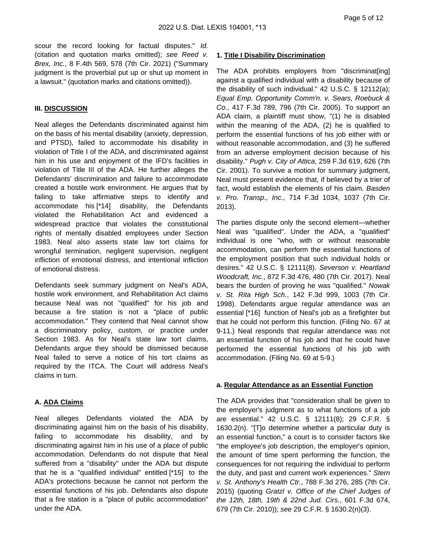scour the record looking for factual disputes." Id. (citation and quotation marks omitted); see Reed v. Brex, Inc., 8 F.4th 569, 578 (7th Cir. 2021) ("Summary judgment is the proverbial put up or shut up moment in a lawsuit." (quotation marks and citations omitted)).

#### **III. DISCUSSION**

Neal alleges the Defendants discriminated against him on the basis of his mental disability (anxiety, depression, and PTSD), failed to accommodate his disability in violation of Title I of the ADA, and discriminated against him in his use and enjoyment of the IFD's facilities in violation of Title III of the ADA. He further alleges the Defendants' discrimination and failure to accommodate created a hostile work environment. He argues that by failing to take affirmative steps to identify and accommodate his [\*14] disability, the Defendants violated the Rehabilitation Act and evidenced a widespread practice that violates the constitutional rights of mentally disabled employees under Section 1983. Neal also asserts state law tort claims for wrongful termination, negligent supervision, negligent infliction of emotional distress, and intentional infliction of emotional distress.

Defendants seek summary judgment on Neal's ADA, hostile work environment, and Rehabilitation Act claims because Neal was not "qualified" for his job and because a fire station is not a "place of public accommodation." They contend that Neal cannot show a discriminatory policy, custom, or practice under Section 1983. As for Neal's state law tort claims, Defendants argue they should be dismissed because Neal failed to serve a notice of his tort claims as required by the ITCA. The Court will address Neal's claims in turn.

#### **A. ADA Claims**

Neal alleges Defendants violated the ADA by discriminating against him on the basis of his disability, failing to accommodate his disability, and by discriminating against him in his use of a place of public accommodation. Defendants do not dispute that Neal suffered from a "disability" under the ADA but dispute that he is a "qualified individual" entitled [\*15] to the ADA's protections because he cannot not perform the essential functions of his job. Defendants also dispute that a fire station is a "place of public accommodation" under the ADA.

#### **1. Title I Disability Discrimination**

The ADA prohibits employers from "discriminat[ing] against a qualified individual with a disability because of the disability of such individual." 42 U.S.C. § 12112(a); Equal Emp. Opportunity Comm'n. v. Sears, Roebuck & Co., 417 F.3d 789, 796 (7th Cir. 2005). To support an ADA claim, a plaintiff must show, "(1) he is disabled within the meaning of the ADA, (2) he is qualified to perform the essential functions of his job either with or without reasonable accommodation, and (3) he suffered from an adverse employment decision because of his disability." Pugh v. City of Attica, 259 F.3d 619, 626 (7th Cir. 2001). To survive a motion for summary judgment, Neal must present evidence that, if believed by a trier of fact, would establish the elements of his claim. Basden v. Pro. Transp., Inc., 714 F.3d 1034, 1037 (7th Cir. 2013).

The parties dispute only the second element—whether Neal was "qualified". Under the ADA, a "qualified" individual is one "who, with or without reasonable accommodation, can perform the essential functions of the employment position that such individual holds or desires." 42 U.S.C. § 12111(8). Severson v. Heartland Woodcraft, Inc., 872 F.3d 476, 480 (7th Cir. 2017). Neal bears the burden of proving he was "qualified." Nowak v. St. Rita High Sch., 142 F.3d 999, 1003 (7th Cir. 1998). Defendants argue regular attendance was an essential [\*16] function of Neal's job as a firefighter but that he could not perform this function. (Filing No. 67 at 9-11.) Neal responds that regular attendance was not an essential function of his job and that he could have performed the essential functions of his job with accommodation. (Filing No. 69 at 5-9.)

#### **a. Regular Attendance as an Essential Function**

The ADA provides that "consideration shall be given to the employer's judgment as to what functions of a job are essential." 42 U.S.C. § 12111(8); 29 C.F.R. § 1630.2(n). "[T]o determine whether a particular duty is an essential function," a court is to consider factors like "the employee's job description, the employer's opinion, the amount of time spent performing the function, the consequences for not requiring the individual to perform the duty, and past and current work experiences." Stern v. St. Anthony's Health Ctr., 788 F.3d 276, 285 (7th Cir. 2015) (quoting Gratzl v. Office of the Chief Judges of the 12th, 18th, 19th & 22nd Jud. Cirs., 601 F.3d 674, 679 (7th Cir. 2010)); see 29 C.F.R. § 1630.2(n)(3).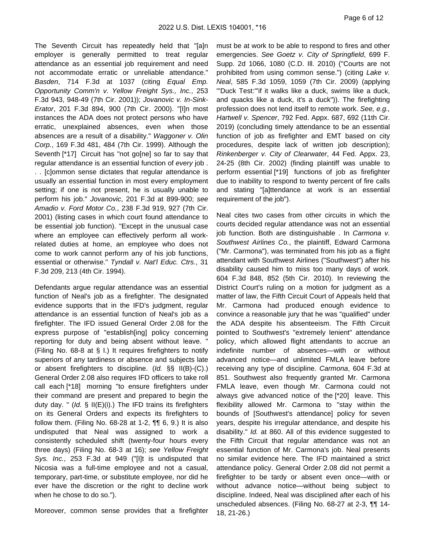The Seventh Circuit has repeatedly held that "[a]n employer is generally permitted to treat regular attendance as an essential job requirement and need not accommodate erratic or unreliable attendance." Basden, 714 F.3d at 1037 (citing Equal Emp. Opportunity Comm'n v. Yellow Freight Sys., Inc., 253 F.3d 943, 948-49 (7th Cir. 2001)); Jovanovic v. In-Sink-Erator, 201 F.3d 894, 900 (7th Cir. 2000). "[I]n most instances the ADA does not protect persons who have erratic, unexplained absences, even when those absences are a result of a disability." Waggoner v. Olin Corp., 169 F.3d 481, 484 (7th Cir. 1999). Although the Seventh [\*17] Circuit has "not go[ne] so far to say that regular attendance is an essential function of every job. . . [c]ommon sense dictates that regular attendance is usually an essential function in most every employment setting; if one is not present, he is usually unable to perform his job." Jovanovic, 201 F.3d at 899-900; see Amadio v. Ford Motor Co., 238 F.3d 919, 927 (7th Cir. 2001) (listing cases in which court found attendance to be essential job function). "Except in the unusual case where an employee can effectively perform all workrelated duties at home, an employee who does not come to work cannot perform any of his job functions, essential or otherwise." Tyndall v. Nat'l Educ. Ctrs., 31 F.3d 209, 213 (4th Cir. 1994).

Defendants argue regular attendance was an essential function of Neal's job as a firefighter. The designated evidence supports that in the IFD's judgment, regular attendance is an essential function of Neal's job as a firefighter. The IFD issued General Order 2.08 for the express purpose of "establish[ing] policy concerning reporting for duty and being absent without leave. " (Filing No. 68-8 at § I.) It requires firefighters to notify superiors of any tardiness or absence and subjects late or absent firefighters to discipline. (Id. §§ II(B)-(C).) General Order 2.08 also requires IFD officers to take roll call each [\*18] morning "to ensure firefighters under their command are present and prepared to begin the duty day. " (Id.  $\S$  II(E)(i).) The IFD trains its firefighters on its General Orders and expects its firefighters to follow them. (Filing No. 68-28 at 1-2,  $\P\P$  6, 9.) It is also undisputed that Neal was assigned to work a consistently scheduled shift (twenty-four hours every three days) (Filing No. 68-3 at 16); see Yellow Freight Sys. Inc., 253 F.3d at 949 ("[I]t is undisputed that Nicosia was a full-time employee and not a casual, temporary, part-time, or substitute employee, nor did he ever have the discretion or the right to decline work when he chose to do so.").

Moreover, common sense provides that a firefighter

must be at work to be able to respond to fires and other emergencies. See Goetz v. City of Springfield, 699 F. Supp. 2d 1066, 1080 (C.D. Ill. 2010) ("Courts are not prohibited from using common sense.") (citing Lake v. Neal, 585 F.3d 1059, 1059 (7th Cir. 2009) (applying "'Duck Test:'"if it walks like a duck, swims like a duck, and quacks like a duck, it's a duck")). The firefighting profession does not lend itself to remote work. See, e.g., Hartwell v. Spencer, 792 Fed. Appx. 687, 692 (11th Cir. 2019) (concluding timely attendance to be an essential function of job as firefighter and EMT based on city procedures, despite lack of written job description); Rinkenberger v. City of Clearwater, 44 Fed. Appx. 23, 24-25 (8th Cir. 2002) (finding plaintiff was unable to perform essential [\*19] functions of job as firefighter due to inability to respond to twenty percent of fire calls and stating "[a]ttendance at work is an essential requirement of the job").

Neal cites two cases from other circuits in which the courts decided regular attendance was not an essential job function. Both are distinguishable . In Carmona v. Southwest Airlines Co., the plaintiff, Edward Carmona ("Mr. Carmona"), was terminated from his job as a flight attendant with Southwest Airlines ("Southwest") after his disability caused him to miss too many days of work. 604 F.3d 848, 852 (5th Cir. 2010). In reviewing the District Court's ruling on a motion for judgment as a matter of law, the Fifth Circuit Court of Appeals held that Mr. Carmona had produced enough evidence to convince a reasonable jury that he was "qualified" under the ADA despite his absenteeism. The Fifth Circuit pointed to Southwest's "extremely lenient" attendance policy, which allowed flight attendants to accrue an indefinite number of absences—with or without advanced notice—and unlimited FMLA leave before receiving any type of discipline. Carmona, 604 F.3d at 851. Southwest also frequently granted Mr. Carmona FMLA leave, even though Mr. Carmona could not always give advanced notice of the [\*20] leave. This flexibility allowed Mr. Carmona to "stay within the bounds of [Southwest's attendance] policy for seven years, despite his irregular attendance, and despite his disability." Id. at 860. All of this evidence suggested to the Fifth Circuit that regular attendance was not an essential function of Mr. Carmona's job. Neal presents no similar evidence here. The IFD maintained a strict attendance policy. General Order 2.08 did not permit a firefighter to be tardy or absent even once—with or without advance notice—without being subject to discipline. Indeed, Neal was disciplined after each of his unscheduled absences. (Filing No. 68-27 at 2-3, ¶¶ 14- 18, 21-26.)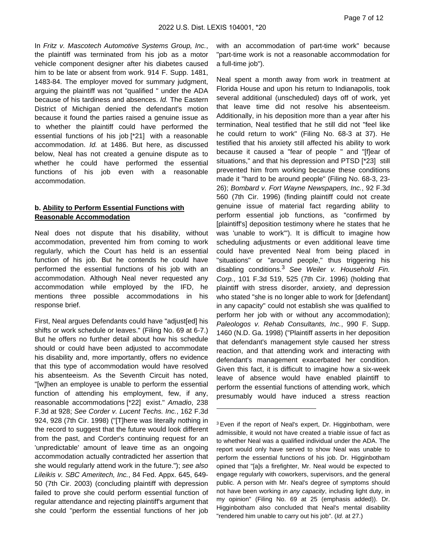In Fritz v. Mascotech Automotive Systems Group, Inc., the plaintiff was terminated from his job as a motor vehicle component designer after his diabetes caused him to be late or absent from work. 914 F. Supp. 1481, 1483-84. The employer moved for summary judgment, arguing the plaintiff was not "qualified " under the ADA because of his tardiness and absences. Id. The Eastern District of Michigan denied the defendant's motion because it found the parties raised a genuine issue as to whether the plaintiff could have performed the essential functions of his job [\*21] with a reasonable accommodation. Id. at 1486. But here, as discussed below, Neal has not created a genuine dispute as to whether he could have performed the essential functions of his job even with a reasonable accommodation.

#### **b. Ability to Perform Essential Functions with Reasonable Accommodation**

Neal does not dispute that his disability, without accommodation, prevented him from coming to work regularly, which the Court has held is an essential function of his job. But he contends he could have performed the essential functions of his job with an accommodation. Although Neal never requested any accommodation while employed by the IFD, he mentions three possible accommodations in his response brief.

First, Neal argues Defendants could have "adjust[ed] his shifts or work schedule or leaves." (Filing No. 69 at 6-7.) But he offers no further detail about how his schedule should or could have been adjusted to accommodate his disability and, more importantly, offers no evidence that this type of accommodation would have resolved his absenteeism. As the Seventh Circuit has noted, "[w]hen an employee is unable to perform the essential function of attending his employment, few, if any, reasonable accommodations [\*22] exist." Amadio, 238 F.3d at 928; See Corder v. Lucent Techs. Inc., 162 F.3d 924, 928 (7th Cir. 1998) ("[T]here was literally nothing in the record to suggest that the future would look different from the past, and Corder's continuing request for an 'unpredictable' amount of leave time as an ongoing accommodation actually contradicted her assertion that she would regularly attend work in the future."); see also Lileikis v. SBC Ameritech, Inc., 84 Fed. Appx. 645, 649- 50 (7th Cir. 2003) (concluding plaintiff with depression failed to prove she could perform essential function of regular attendance and rejecting plaintiff's argument that she could "perform the essential functions of her job

with an accommodation of part-time work" because "part-time work is not a reasonable accommodation for a full-time job").

Neal spent a month away from work in treatment at Florida House and upon his return to Indianapolis, took several additional (unscheduled) days off of work, yet that leave time did not resolve his absenteeism. Additionally, in his deposition more than a year after his termination, Neal testified that he still did not "feel like he could return to work" (Filing No. 68-3 at 37). He testified that his anxiety still affected his ability to work because it caused a "fear of people " and "[f]ear of situations," and that his depression and PTSD [\*23] still prevented him from working because these conditions made it "hard to be around people" (Filing No. 68-3, 23- 26); Bombard v. Fort Wayne Newspapers, Inc., 92 F.3d 560 (7th Cir. 1996) (finding plaintiff could not create genuine issue of material fact regarding ability to perform essential job functions, as "confirmed by [plaintiff's] deposition testimony where he states that he was 'unable to work'"). It is difficult to imagine how scheduling adjustments or even additional leave time could have prevented Neal from being placed in "situations" or "around people," thus triggering his disabling conditions. $3$  See Weiler v. Household Fin. Corp., 101 F.3d 519, 525 (7th Cir. 1996) (holding that plaintiff with stress disorder, anxiety, and depression who stated "she is no longer able to work for [defendant] in any capacity" could not establish she was qualified to perform her job with or without any accommodation); Paleologos v. Rehab Consultants, Inc., 990 F. Supp. 1460 (N.D. Ga. 1998) ("Plaintiff asserts in her deposition that defendant's management style caused her stress reaction, and that attending work and interacting with defendant's management exacerbated her condition. Given this fact, it is difficult to imagine how a six-week leave of absence would have enabled plaintiff to perform the essential functions of attending work, which presumably would have induced a stress reaction

<sup>&</sup>lt;sup>3</sup> Even if the report of Neal's expert, Dr. Higginbotham, were admissible, it would not have created a triable issue of fact as to whether Neal was a qualified individual under the ADA. The report would only have served to show Neal was unable to perform the essential functions of his job. Dr. Higginbotham opined that "[a]s a firefighter, Mr. Neal would be expected to engage regularly with coworkers, supervisors, and the general public. A person with Mr. Neal's degree of symptoms should not have been working in any capacity, including light duty, in my opinion" (Filing No. 69 at 25 (emphasis added)). Dr. Higginbotham also concluded that Neal's mental disability "rendered him unable to carry out his job". (Id. at 27.)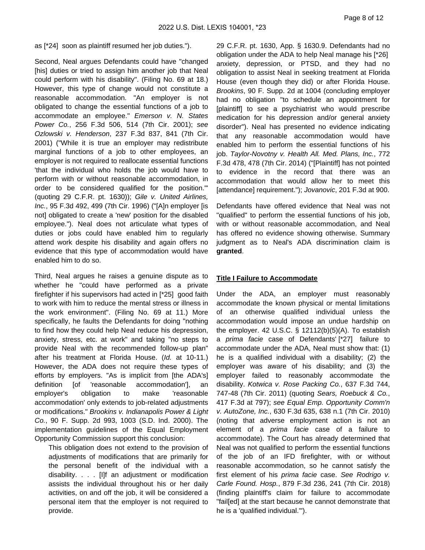#### as [\*24] soon as plaintiff resumed her job duties.").

Second, Neal argues Defendants could have "changed [his] duties or tried to assign him another job that Neal could perform with his disability". (Filing No. 69 at 18.) However, this type of change would not constitute a reasonable accommodation. "An employer is not obligated to change the essential functions of a job to accommodate an employee." Emerson v. N. States Power Co., 256 F.3d 506, 514 (7th Cir. 2001); see Ozlowski v. Henderson, 237 F.3d 837, 841 (7th Cir. 2001) ("While it is true an employer may redistribute marginal functions of a job to other employees, an employer is not required to reallocate essential functions 'that the individual who holds the job would have to perform with or without reasonable accommodation, in order to be considered qualified for the position.'" (quoting 29 C.F.R. pt. 1630)); Gile v. United Airlines, Inc., 95 F.3d 492, 499 (7th Cir. 1996) ("[A]n employer [is not] obligated to create a 'new' position for the disabled employee."). Neal does not articulate what types of duties or jobs could have enabled him to regularly attend work despite his disability and again offers no evidence that this type of accommodation would have enabled him to do so.

Third, Neal argues he raises a genuine dispute as to whether he "could have performed as a private firefighter if his supervisors had acted in [\*25] good faith to work with him to reduce the mental stress or illness in the work environment". (Filing No. 69 at 11.) More specifically, he faults the Defendants for doing "nothing to find how they could help Neal reduce his depression, anxiety, stress, etc. at work" and taking "no steps to provide Neal with the recommended follow-up plan" after his treatment at Florida House. (Id. at 10-11.) However, the ADA does not require these types of efforts by employers. "As is implicit from [the ADA's] definition [of 'reasonable accommodation'], an employer's obligation to make 'reasonable accommodation' only extends to job-related adjustments or modifications." Brookins v. Indianapolis Power & Light Co., 90 F. Supp. 2d 993, 1003 (S.D. Ind. 2000). The implementation guidelines of the Equal Employment Opportunity Commission support this conclusion:

This obligation does not extend to the provision of adjustments of modifications that are primarily for the personal benefit of the individual with a disability. . . . [I]f an adjustment or modification assists the individual throughout his or her daily activities, on and off the job, it will be considered a personal item that the employer is not required to provide.

29 C.F.R. pt. 1630, App. § 1630.9. Defendants had no obligation under the ADA to help Neal manage his [\*26] anxiety, depression, or PTSD, and they had no obligation to assist Neal in seeking treatment at Florida House (even though they did) or after Florida House. Brookins, 90 F. Supp. 2d at 1004 (concluding employer had no obligation "to schedule an appointment for [plaintiff] to see a psychiatrist who would prescribe medication for his depression and/or general anxiety disorder"). Neal has presented no evidence indicating that any reasonable accommodation would have enabled him to perform the essential functions of his job. Taylor-Novotny v. Health All. Med. Plans, Inc., 772 F.3d 478, 478 (7th Cir. 2014) ("[Plaintiff] has not pointed to evidence in the record that there was an accommodation that would allow her to meet this [attendance] requirement."); Jovanovic, 201 F.3d at 900.

Defendants have offered evidence that Neal was not "qualified" to perform the essential functions of his job, with or without reasonable accommodation, and Neal has offered no evidence showing otherwise. Summary judgment as to Neal's ADA discrimination claim is **granted**.

#### **Title I Failure to Accommodate**

Under the ADA, an employer must reasonably accommodate the known physical or mental limitations of an otherwise qualified individual unless the accommodation would impose an undue hardship on the employer. 42 U.S.C.  $\S$  12112(b)(5)(A). To establish a prima facie case of Defendants' [\*27] failure to accommodate under the ADA, Neal must show that: (1) he is a qualified individual with a disability; (2) the employer was aware of his disability; and (3) the employer failed to reasonably accommodate the disability. Kotwica v. Rose Packing Co., 637 F.3d 744, 747-48 (7th Cir. 2011) (quoting Sears, Roebuck & Co., 417 F.3d at 797); see Equal Emp. Opportunity Comm'n v. AutoZone, Inc., 630 F.3d 635, 638 n.1 (7th Cir. 2010) (noting that adverse employment action is not an element of a prima facie case of a failure to accommodate). The Court has already determined that Neal was not qualified to perform the essential functions of the job of an IFD firefighter, with or without reasonable accommodation, so he cannot satisfy the first element of his prima facie case. See Rodrigo v. Carle Found. Hosp., 879 F.3d 236, 241 (7th Cir. 2018) (finding plaintiff's claim for failure to accommodate "fail[ed] at the start because he cannot demonstrate that he is a 'qualified individual.'").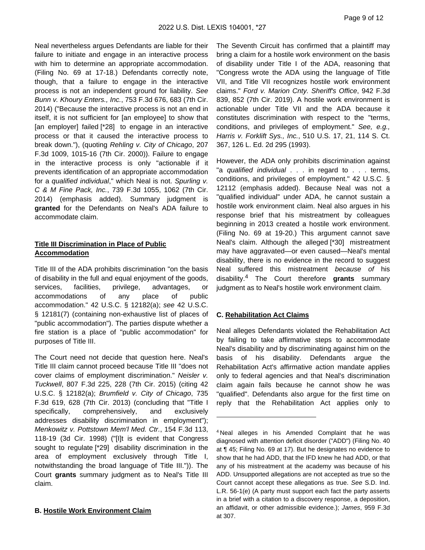Neal nevertheless argues Defendants are liable for their failure to initiate and engage in an interactive process with him to determine an appropriate accommodation. (Filing No. 69 at 17-18.) Defendants correctly note, though, that a failure to engage in the interactive process is not an independent ground for liability. See Bunn v. Khoury Enters., Inc., 753 F.3d 676, 683 (7th Cir. 2014) ("Because the interactive process is not an end in itself, it is not sufficient for [an employee] to show that [an employer] failed [\*28] to engage in an interactive process or that it caused the interactive process to break down."), (quoting Rehling v. City of Chicago, 207 F.3d 1009, 1015-16 (7th Cir. 2000)). Failure to engage in the interactive process is only "actionable if it prevents identification of an appropriate accommodation for a qualified individual," which Neal is not. Spurling v. C & M Fine Pack, Inc., 739 F.3d 1055, 1062 (7th Cir. 2014) (emphasis added). Summary judgment is **granted** for the Defendants on Neal's ADA failure to accommodate claim.

## **Title III Discrimination in Place of Public Accommodation**

Title III of the ADA prohibits discrimination "on the basis of disability in the full and equal enjoyment of the goods, services, facilities, privilege, advantages, or accommodations of any place of public accommodation." 42 U.S.C. § 12182(a); see 42 U.S.C. § 12181(7) (containing non-exhaustive list of places of "public accommodation"). The parties dispute whether a fire station is a place of "public accommodation" for purposes of Title III.

The Court need not decide that question here. Neal's Title III claim cannot proceed because Title III "does not cover claims of employment discrimination." Neisler v. Tuckwell, 807 F.3d 225, 228 (7th Cir. 2015) (citing 42 U.S.C. § 12182(a); Brumfield v. City of Chicago, 735 F.3d 619, 628 (7th Cir. 2013) (concluding that "Title I specifically, comprehensively, and exclusively addresses disability discrimination in employment"); Menkowitz v. Pottstown Mem'l Med. Ctr., 154 F.3d 113, 118-19 (3d Cir. 1998) ("[I]t is evident that Congress sought to regulate [\*29] disability discrimination in the area of employment exclusively through Title I, notwithstanding the broad language of Title III.")). The Court **grants** summary judgment as to Neal's Title III claim.

#### **B. Hostile Work Environment Claim**

The Seventh Circuit has confirmed that a plaintiff may bring a claim for a hostile work environment on the basis of disability under Title I of the ADA, reasoning that "Congress wrote the ADA using the language of Title VII, and Title VII recognizes hostile work environment claims." Ford v. Marion Cnty. Sheriff's Office, 942 F.3d 839, 852 (7th Cir. 2019). A hostile work environment is actionable under Title VII and the ADA because it constitutes discrimination with respect to the "terms, conditions, and privileges of employment." See, e.g., Harris v. Forklift Sys., Inc., 510 U.S. 17, 21, 114 S. Ct. 367, 126 L. Ed. 2d 295 (1993).

However, the ADA only prohibits discrimination against "a qualified individual . . . in regard to . . . terms, conditions, and privileges of employment." 42 U.S.C. § 12112 (emphasis added). Because Neal was not a "qualified individual" under ADA, he cannot sustain a hostile work environment claim. Neal also argues in his response brief that his mistreatment by colleagues beginning in 2013 created a hostile work environment. (Filing No. 69 at 19-20.) This argument cannot save Neal's claim. Although the alleged [\*30] mistreatment may have aggravated—or even caused—Neal's mental disability, there is no evidence in the record to suggest Neal suffered this mistreatment because of his disability.<sup>4</sup> The Court therefore **grants** summary judgment as to Neal's hostile work environment claim.

#### **C. Rehabilitation Act Claims**

Neal alleges Defendants violated the Rehabilitation Act by failing to take affirmative steps to accommodate Neal's disability and by discriminating against him on the basis of his disability. Defendants argue the Rehabilitation Act's affirmative action mandate applies only to federal agencies and that Neal's discrimination claim again fails because he cannot show he was "qualified". Defendants also argue for the first time on reply that the Rehabilitation Act applies only to

<sup>4</sup>Neal alleges in his Amended Complaint that he was diagnosed with attention deficit disorder ("ADD") (Filing No. 40 at ¶ 45; Filing No. 69 at 17). But he designates no evidence to show that he had ADD, that the IFD knew he had ADD, or that any of his mistreatment at the academy was because of his ADD. Unsupported allegations are not accepted as true so the Court cannot accept these allegations as true. See S.D. Ind. L.R. 56-1(e) (A party must support each fact the party asserts in a brief with a citation to a discovery response, a deposition, an affidavit, or other admissible evidence.); James, 959 F.3d at 307.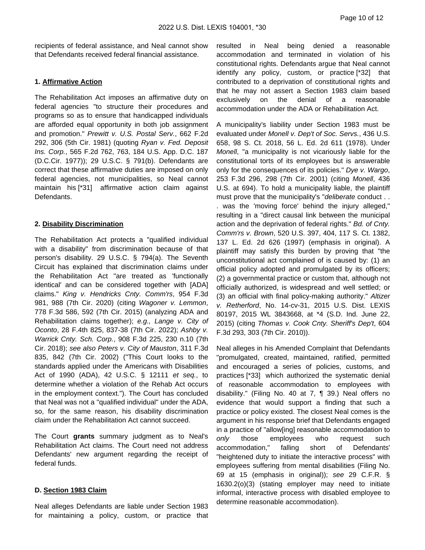recipients of federal assistance, and Neal cannot show that Defendants received federal financial assistance.

#### **1. Affirmative Action**

The Rehabilitation Act imposes an affirmative duty on federal agencies "to structure their procedures and programs so as to ensure that handicapped individuals are afforded equal opportunity in both job assignment and promotion." Prewitt v. U.S. Postal Serv., 662 F.2d 292, 306 (5th Cir. 1981) (quoting Ryan v. Fed. Deposit Ins. Corp., 565 F.2d 762, 763, 184 U.S. App. D.C. 187 (D.C.Cir. 1977)); 29 U.S.C. § 791(b). Defendants are correct that these affirmative duties are imposed on only federal agencies, not municipalities, so Neal cannot maintain his [\*31] affirmative action claim against Defendants.

#### **2. Disability Discrimination**

The Rehabilitation Act protects a "qualified individual with a disability" from discrimination because of that person's disability. 29 U.S.C. § 794(a). The Seventh Circuit has explained that discrimination claims under the Rehabilitation Act "are treated as 'functionally identical' and can be considered together with [ADA] claims." King v. Hendricks Cnty. Comm'rs, 954 F.3d 981, 988 (7th Cir. 2020) (citing Wagoner v. Lemmon, 778 F.3d 586, 592 (7th Cir. 2015) (analyzing ADA and Rehabilitation claims together); e.g., Lange v. City of Oconto, 28 F.4th 825, 837-38 (7th Cir. 2022); Ashby v. Warrick Cnty. Sch. Corp., 908 F.3d 225, 230 n.10 (7th Cir. 2018); see also Peters v. City of Mauston, 311 F.3d 835, 842 (7th Cir. 2002) ("This Court looks to the standards applied under the Americans with Disabilities Act of 1990 (ADA), 42 U.S.C. § 12111 et seq., to determine whether a violation of the Rehab Act occurs in the employment context."). The Court has concluded that Neal was not a "qualified individual" under the ADA, so, for the same reason, his disability discrimination claim under the Rehabilitation Act cannot succeed.

The Court **grants** summary judgment as to Neal's Rehabilitation Act claims. The Court need not address Defendants' new argument regarding the receipt of federal funds.

#### **D. Section 1983 Claim**

Neal alleges Defendants are liable under Section 1983 for maintaining a policy, custom, or practice that resulted in Neal being denied a reasonable accommodation and terminated in violation of his constitutional rights. Defendants argue that Neal cannot identify any policy, custom, or practice [\*32] that contributed to a deprivation of constitutional rights and that he may not assert a Section 1983 claim based exclusively on the denial of a reasonable accommodation under the ADA or Rehabilitation Act.

A municipality's liability under Section 1983 must be evaluated under Monell v. Dep't of Soc. Servs., 436 U.S. 658, 98 S. Ct. 2018, 56 L. Ed. 2d 611 (1978). Under Monell, "a municipality is not vicariously liable for the constitutional torts of its employees but is answerable only for the consequences of its policies." Dye v. Wargo, 253 F.3d 296, 298 (7th Cir. 2001) (citing Monell, 436 U.S. at 694). To hold a municipality liable, the plaintiff must prove that the municipality's "deliberate conduct . . . was the 'moving force' behind the injury alleged," resulting in a "direct causal link between the municipal action and the deprivation of federal rights." Bd. of Cnty. Comm'rs v. Brown, 520 U.S. 397, 404, 117 S. Ct. 1382, 137 L. Ed. 2d 626 (1997) (emphasis in original). A plaintiff may satisfy this burden by proving that "the unconstitutional act complained of is caused by: (1) an official policy adopted and promulgated by its officers; (2) a governmental practice or custom that, although not officially authorized, is widespread and well settled; or (3) an official with final policy-making authority." Altizer v. Retherford, No. 14-cv-31, 2015 U.S. Dist. LEXIS 80197, 2015 WL 3843668, at \*4 (S.D. Ind. June 22, 2015) (citing Thomas v. Cook Cnty. Sheriff's Dep't, 604 F.3d 293, 303 (7th Cir. 2010)).

Neal alleges in his Amended Complaint that Defendants "promulgated, created, maintained, ratified, permitted and encouraged a series of policies, customs, and practices [\*33] which authorized the systematic denial of reasonable accommodation to employees with disability." (Filing No. 40 at 7, ¶ 39.) Neal offers no evidence that would support a finding that such a practice or policy existed. The closest Neal comes is the argument in his response brief that Defendants engaged in a practice of "allow[ing] reasonable accommodation to only those employees who request such accommodation," falling short of Defendants' "heightened duty to initiate the interactive process" with employees suffering from mental disabilities (Filing No. 69 at 15 (emphasis in original)); see 29 C.F.R. § 1630.2(o)(3) (stating employer may need to initiate informal, interactive process with disabled employee to determine reasonable accommodation).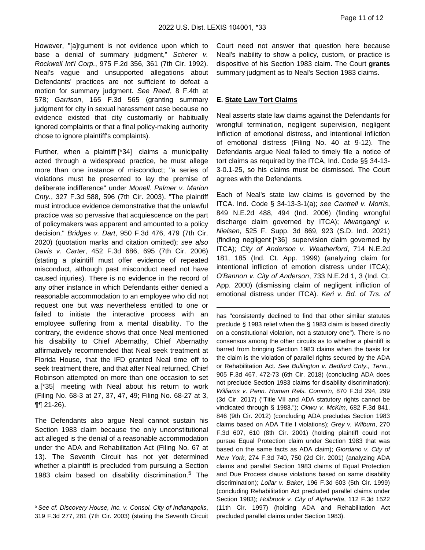However, "[a]rgument is not evidence upon which to base a denial of summary judgment," Scherer v. Rockwell Int'l Corp., 975 F.2d 356, 361 (7th Cir. 1992). Neal's vague and unsupported allegations about Defendants' practices are not sufficient to defeat a motion for summary judgment. See Reed, 8 F.4th at 578; Garrison, 165 F.3d 565 (granting summary judgment for city in sexual harassment case because no evidence existed that city customarily or habitually ignored complaints or that a final policy-making authority chose to ignore plaintiff's complaints).

Further, when a plaintiff [\*34] claims a municipality acted through a widespread practice, he must allege more than one instance of misconduct; "a series of violations must be presented to lay the premise of deliberate indifference" under Monell. Palmer v. Marion Cnty., 327 F.3d 588, 596 (7th Cir. 2003). "The plaintiff must introduce evidence demonstrative that the unlawful practice was so pervasive that acquiescence on the part of policymakers was apparent and amounted to a policy decision." Bridges v. Dart, 950 F.3d 476, 479 (7th Cir. 2020) (quotation marks and citation omitted); see also Davis v. Carter, 452 F.3d 686, 695 (7th Cir. 2006) (stating a plaintiff must offer evidence of repeated misconduct, although past misconduct need not have caused injuries). There is no evidence in the record of any other instance in which Defendants either denied a reasonable accommodation to an employee who did not request one but was nevertheless entitled to one or failed to initiate the interactive process with an employee suffering from a mental disability. To the contrary, the evidence shows that once Neal mentioned his disability to Chief Abernathy, Chief Abernathy affirmatively recommended that Neal seek treatment at Florida House, that the IFD granted Neal time off to seek treatment there, and that after Neal returned, Chief Robinson attempted on more than one occasion to set a [\*35] meeting with Neal about his return to work (Filing No. 68-3 at 27, 37, 47, 49; Filing No. 68-27 at 3, ¶¶ 21-26).

The Defendants also argue Neal cannot sustain his Section 1983 claim because the only unconstitutional act alleged is the denial of a reasonable accommodation under the ADA and Rehabilitation Act (Filing No. 67 at 13). The Seventh Circuit has not yet determined whether a plaintiff is precluded from pursuing a Section 1983 claim based on disability discrimination.<sup>5</sup> The Court need not answer that question here because Neal's inability to show a policy, custom, or practice is dispositive of his Section 1983 claim. The Court **grants** summary judgment as to Neal's Section 1983 claims.

#### **E. State Law Tort Claims**

Neal asserts state law claims against the Defendants for wrongful termination, negligent supervision, negligent infliction of emotional distress, and intentional infliction of emotional distress (Filing No. 40 at 9-12). The Defendants argue Neal failed to timely file a notice of tort claims as required by the ITCA, Ind. Code §§ 34-13- 3-0.1-25, so his claims must be dismissed. The Court agrees with the Defendants.

Each of Neal's state law claims is governed by the ITCA. Ind. Code § 34-13-3-1(a); see Cantrell v. Morris, 849 N.E.2d 488, 494 (Ind. 2006) (finding wrongful discharge claim governed by ITCA); Mwangangi v. Nielsen, 525 F. Supp. 3d 869, 923 (S.D. Ind. 2021) (finding negligent [\*36] supervision claim governed by ITCA); City of Anderson v. Weatherford, 714 N.E.2d 181, 185 (Ind. Ct. App. 1999) (analyzing claim for intentional infliction of emotion distress under ITCA); O'Bannon v. City of Anderson, 733 N.E.2d 1, 3 (Ind. Ct. App. 2000) (dismissing claim of negligent infliction of emotional distress under ITCA). Keri v. Bd. of Trs. of

has "consistently declined to find that other similar statutes preclude § 1983 relief when the § 1983 claim is based directly on a constitutional violation, not a statutory one"). There is no consensus among the other circuits as to whether a plaintiff is barred from bringing Section 1983 claims when the basis for the claim is the violation of parallel rights secured by the ADA or Rehabilitation Act. See Bullington v. Bedford Cnty., Tenn., 905 F.3d 467, 472-73 (6th Cir. 2018) (concluding ADA does not preclude Section 1983 claims for disability discrimination); Williams v. Penn. Human Rels. Comm'n, 870 F.3d 294, 299 (3d Cir. 2017) ("Title VII and ADA statutory rights cannot be vindicated through § 1983."); Okwu v. McKim, 682 F.3d 841, 846 (9th Cir. 2012) (concluding ADA precludes Section 1983 claims based on ADA Title I violations); Grey v. Wilburn, 270 F.3d 607, 610 (8th Cir. 2001) (holding plaintiff could not pursue Equal Protection claim under Section 1983 that was based on the same facts as ADA claim); Giordano v. City of New York, 274 F.3d 740, 750 (2d Cir. 2001) (analyzing ADA claims and parallel Section 1983 claims of Equal Protection and Due Process clause violations based on same disability discrimination); Lollar v. Baker, 196 F.3d 603 (5th Cir. 1999) (concluding Rehabilitation Act precluded parallel claims under Section 1983); Holbrook v. City of Alpharetta, 112 F.3d 1522 (11th Cir. 1997) (holding ADA and Rehabilitation Act precluded parallel claims under Section 1983).

<sup>&</sup>lt;sup>5</sup> See cf. Discovery House, Inc. v. Consol. City of Indianapolis, 319 F.3d 277, 281 (7th Cir. 2003) (stating the Seventh Circuit